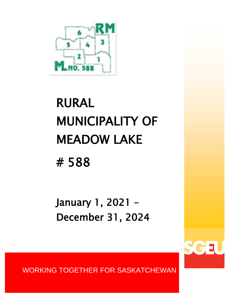

# RURAL MUNICIPALITY OF MEADOW LAKE # 588

January 1, 2021 – December 31, 2024

WORKING TOGETHER FOR SASKATCHEWAN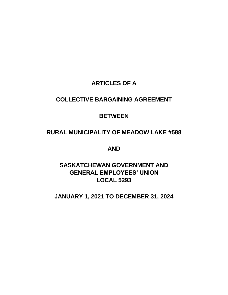# **ARTICLES OF A**

# **COLLECTIVE BARGAINING AGREEMENT**

# **BETWEEN**

# **RURAL MUNICIPALITY OF MEADOW LAKE #588**

**AND** 

# **SASKATCHEWAN GOVERNMENT AND GENERAL EMPLOYEES' UNION LOCAL 5293**

# **JANUARY 1, 2021 TO DECEMBER 31, 2024**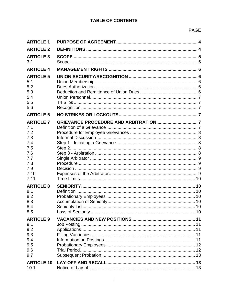# **TABLE OF CONTENTS**

| <b>ARTICLE 1</b>  |  |
|-------------------|--|
| <b>ARTICLE 2</b>  |  |
| <b>ARTICLE 3</b>  |  |
| 3.1               |  |
| <b>ARTICLE 4</b>  |  |
| <b>ARTICLE 5</b>  |  |
| 5.1               |  |
| 5.2               |  |
| 5.3               |  |
| 5.4<br>5.5        |  |
| 5.6               |  |
| <b>ARTICLE 6</b>  |  |
|                   |  |
| <b>ARTICLE 7</b>  |  |
| 7.1               |  |
| 7.2<br>7.3        |  |
| 7.4               |  |
| 7.5               |  |
| 7.6               |  |
| 7.7               |  |
| 7.8               |  |
| 7.9               |  |
| 7.10<br>7.11      |  |
|                   |  |
| <b>ARTICLE 8</b>  |  |
| 8.1<br>8.2        |  |
| 8.3               |  |
| 8.4               |  |
| 8.5               |  |
| <b>ARTICLE 9</b>  |  |
| 9.1               |  |
| 9.2               |  |
| 9.3               |  |
| 9.4               |  |
| 9.5               |  |
| 9.6               |  |
| 9.7               |  |
| <b>ARTICLE 10</b> |  |
| 10.1              |  |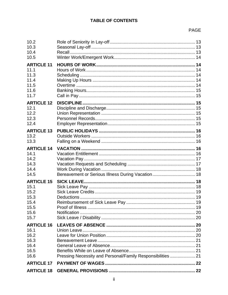# **TABLE OF CONTENTS**

# PAGE

| <b>ARTICLE 18</b>                                                         |                                                             |  |
|---------------------------------------------------------------------------|-------------------------------------------------------------|--|
| <b>ARTICLE 17</b>                                                         |                                                             |  |
| <b>ARTICLE 16</b><br>16.1<br>16.2<br>16.3<br>16.4<br>16.5<br>16.6         | Pressing Necessity and Personal/Family Responsibilities  21 |  |
| <b>ARTICLE 15</b><br>15.1<br>15.2<br>15.3<br>15.4<br>15.5<br>15.6<br>15.7 |                                                             |  |
| <b>ARTICLE 14</b><br>14.1<br>14.2<br>14.3<br>14.4<br>14.5                 |                                                             |  |
| <b>ARTICLE 13</b><br>13.2<br>13.3                                         |                                                             |  |
| <b>ARTICLE 12</b><br>12.1<br>12.2<br>12.3<br>12.4                         |                                                             |  |
| <b>ARTICLE 11</b><br>11.1<br>11.3<br>11.4<br>11.5<br>11.6<br>11.7         |                                                             |  |
| 10.2<br>10.3<br>10.4<br>10.5                                              |                                                             |  |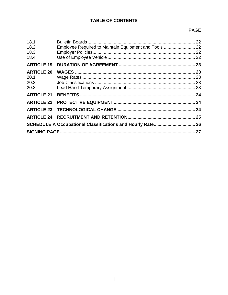# **TABLE OF CONTENTS**

# PAGE

| 18.1<br>18.2<br>18.3<br>18.4              | Employee Required to Maintain Equipment and Tools  22 |  |  |
|-------------------------------------------|-------------------------------------------------------|--|--|
| <b>ARTICLE 19</b>                         |                                                       |  |  |
| <b>ARTICLE 20</b><br>20.1<br>20.2<br>20.3 |                                                       |  |  |
| <b>ARTICLE 21</b>                         |                                                       |  |  |
|                                           |                                                       |  |  |
| <b>ARTICLE 23</b>                         |                                                       |  |  |
| <b>ARTICLE 24</b>                         |                                                       |  |  |
|                                           |                                                       |  |  |
|                                           |                                                       |  |  |
|                                           |                                                       |  |  |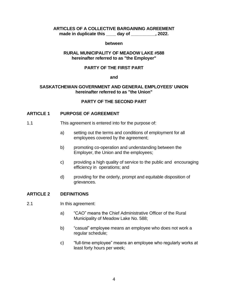# **ARTICLES OF A COLLECTIVE BARGAINING AGREEMENT**

**made in duplicate this \_\_\_\_ day of \_\_\_\_\_\_\_\_\_\_, 2022.**

#### **between**

#### **RURAL MUNICIPALITY OF MEADOW LAKE #588 hereinafter referred to as "the Employer"**

#### **PARTY OF THE FIRST PART**

#### **and**

#### **SASKATCHEWAN GOVERNMENT AND GENERAL EMPLOYEES' UNION hereinafter referred to as "the Union"**

#### **PARTY OF THE SECOND PART**

#### <span id="page-7-0"></span>**ARTICLE 1 PURPOSE OF AGREEMENT**

- 1.1 This agreement is entered into for the purpose of:
	- a) setting out the terms and conditions of employment for all employees covered by the agreement;
	- b) promoting co-operation and understanding between the Employer, the Union and the employees;
	- c) providing a high quality of service to the public and encouraging efficiency in operations; and
	- d) providing for the orderly, prompt and equitable disposition of grievances.

#### <span id="page-7-1"></span>**ARTICLE 2 DEFINITIONS**

- 2.1 In this agreement:
	- a) "CAO" means the Chief Administrative Officer of the Rural Municipality of Meadow Lake No. 588;
	- b) "casual" employee means an employee who does not work a regular schedule;
	- c) "full-time employee" means an employee who regularly works at least forty hours per week;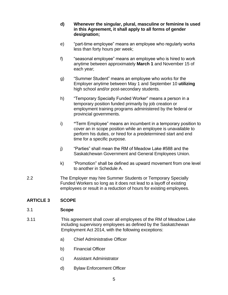- **d) Whenever the singular, plural, masculine or feminine Is used in this Agreement, it shall apply to all forms of gender designation;**
- e) "part-time employee" means an employee who regularly works less than forty hours per week;
- f) "seasonal employee" means an employee who is hired to work anytime between approximately **March 1** and November 15 of each year;
- g) "Summer Student" means an employee who works for the Employer anytime between May 1 and September 10 **utilizing** high school and/or post-secondary students.
- h) "Temporary Specially Funded Worker" means a person in a temporary position funded primarily by job creation or employment training programs administered by the federal or provincial governments.
- i) **"**Term Employee" means an incumbent in a temporary position to cover an in scope position while an employee is unavailable to perform his duties, or hired for a predetermined start and end time for a specific purpose.
- j) "Parties" shall mean the RM of Meadow Lake #588 and the Saskatchewan Government and General Employees Union.
- k) "Promotion" shall be defined as upward movement from one level to another in Schedule A.
- 2.2 The Employer may hire Summer Students or Temporary Specially Funded Workers so long as it does not lead to a layoff of existing employees or result in a reduction of hours for existing employees.

# <span id="page-8-0"></span>**ARTICLE 3 SCOPE**

#### <span id="page-8-1"></span>3.1 **Scope**

- 3.11 This agreement shall cover all employees of the RM of Meadow Lake including supervisory employees as defined by the Saskatchewan Employment Act 2014, with the following exceptions:
	- a) Chief Administrative Officer
	- b) Financial Officer
	- c) Assistant Administrator
	- d) Bylaw Enforcement Officer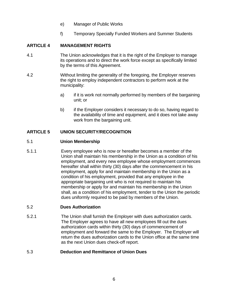- e) Manager of Public Works
- f) Temporary Specially Funded Workers and Summer Students

# <span id="page-9-0"></span>**ARTICLE 4 MANAGEMENT RIGHTS**

- 4.1 The Union acknowledges that it is the right of the Employer to manage its operations and to direct the work force except as specifically limited by the terms of this Agreement.
- 4.2 Without limiting the generality of the foregoing, the Employer reserves the right to employ independent contractors to perform work at the municipality:
	- a) if it is work not normally performed by members of the bargaining unit; or
	- b) if the Employer considers it necessary to do so, having regard to the availability of time and equipment, and it does not take away work from the bargaining unit.

# <span id="page-9-1"></span>**ARTICLE 5 UNION SECURITY/RECOGNITION**

#### <span id="page-9-2"></span>5.1 **Union Membership**

5.1.1 Every employee who is now or hereafter becomes a member of the Union shall maintain his membership in the Union as a condition of his employment, and every new employee whose employment commences hereafter shall within thirty (30) days after the commencement in his employment, apply for and maintain membership in the Union as a condition of his employment, provided that any employee in the appropriate bargaining unit who is not required to maintain his membership or apply for and maintain his membership in the Union shall, as a condition of his employment, tender to the Union the periodic dues uniformly required to be paid by members of the Union.

#### <span id="page-9-3"></span>5.2 **Dues Authorization**

5.2.1 The Union shall furnish the Employer with dues authorization cards. The Employer agrees to have all new employees fill out the dues authorization cards within thirty (30) days of commencement of employment and forward the same to the Employer. The Employer will return the dues authorization cards to the Union office at the same time as the next Union dues check-off report.

#### <span id="page-9-4"></span>5.3 **Deduction and Remittance of Union Dues**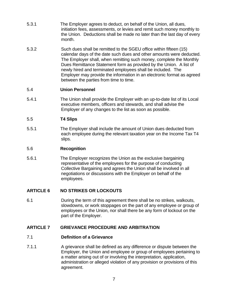- 5.3.1 The Employer agrees to deduct, on behalf of the Union, all dues, initiation fees, assessments, or levies and remit such money monthly to the Union. Deductions shall be made no later than the last day of every month.
- 5.3.2 Such dues shall be remitted to the SGEU office within fifteen (15) calendar days of the date such dues and other amounts were deducted. The Employer shall, when remitting such money, complete the Monthly Dues Remittance Statement form as provided by the Union. A list of newly hired and terminated employees shall be included. The Employer may provide the information in an electronic format as agreed between the parties from time to time.

#### <span id="page-10-0"></span>5.4 **Union Personnel**

5.4.1 The Union shall provide the Employer with an up-to-date list of its Local executive members, officers and stewards, and shall advise the Employer of any changes to the list as soon as possible.

# <span id="page-10-1"></span>5.5 **T4 Slips**

5.5.1 The Employer shall include the amount of Union dues deducted from each employee during the relevant taxation year on the Income Tax T4 slips.

#### <span id="page-10-2"></span>5.6 **Recognition**

5.6.1 The Employer recognizes the Union as the exclusive bargaining representative of the employees for the purpose of conducting Collective Bargaining and agrees the Union shall be involved in all negotiations or discussions with the Employer on behalf of the employees.

# <span id="page-10-3"></span>**ARTICLE 6 NO STRIKES OR LOCKOUTS**

6.1 During the term of this agreement there shall be no strikes, walkouts, slowdowns, or work stoppages on the part of any employee or group of employees or the Union, nor shall there be any form of lockout on the part of the Employer.

#### <span id="page-10-4"></span>**ARTICLE 7 GRIEVANCE PROCEDURE AND ARBITRATION**

#### <span id="page-10-5"></span>7.1 **Definition of a Grievance**

7.1.1 A grievance shall be defined as any difference or dispute between the Employer, the Union and employee or group of employees pertaining to a matter arising out of or involving the interpretation, application, administration or alleged violation of any provision or provisions of this agreement.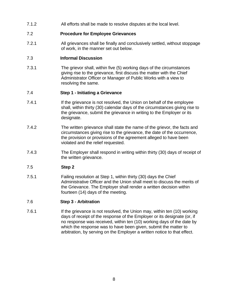7.1.2 All efforts shall be made to resolve disputes at the local level.

#### <span id="page-11-0"></span>7.2 **Procedure for Employee Grievances**

7.2.1 All grievances shall be finally and conclusively settled, without stoppage of work, in the manner set out below.

#### <span id="page-11-1"></span>7.3 **Informal Discussion**

7.3.1 The grievor shall, within five (5) working days of the circumstances giving rise to the grievance, first discuss the matter with the Chief Administrator Officer or Manager of Public Works with a view to resolving the same.

#### <span id="page-11-2"></span>7.4 **Step 1 - Initiating a Grievance**

- 7.4.1 **If the grievance is not resolved, the Union on behalf of the employee** shall, within thirty (30) calendar days of the circumstances giving rise to the grievance, submit the grievance in writing to the Employer or its designate.
- 7.4.2 The written grievance shall state the name of the grievor, the facts and circumstances giving rise to the grievance, the date of the occurrence, the provision or provisions of the agreement alleged to have been violated and the relief requested.
- 7.4.3 The Employer shall respond in writing within thirty (30) days of receipt of the written grievance.

# <span id="page-11-3"></span>7.5 **Step 2**

7.5.1 Failing resolution at Step 1, within thirty (30) days the Chief Administrative Officer and the Union shall meet to discuss the merits of the Grievance. The Employer shall render a written decision within fourteen (14) days of the meeting.

#### <span id="page-11-4"></span>7.6 **Step 3 - Arbitration**

7.6.1 If the grievance is not resolved, the Union may, within ten (10) working days of receipt of the response of the Employer or its designate (or, if no response was received, within ten (10) working days of the date by which the response was to have been given, submit the matter to arbitration, by serving on the Employer a written notice to that effect.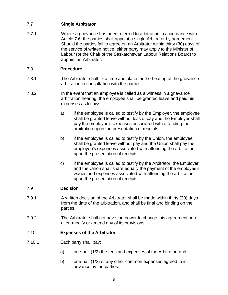# <span id="page-12-0"></span>7.7 **Single Arbitrator**

7.7.1 Where a grievance has been referred to arbitration in accordance with Article 7.6, the parties shall appoint a single Arbitrator by agreement. Should the parties fail to agree on an Arbitrator within thirty (30) days of the service of written notice, either party may apply to the Minister of Labour (or the Chair of the Saskatchewan Labour Relations Board) to appoint an Arbitrator.

# <span id="page-12-1"></span>7.8 **Procedure**

- 7.8.1 The Arbitrator shall fix a time and place for the hearing of the grievance arbitration in consultation with the parties.
- 7.8.2 In the event that an employee is called as a witness in a grievance arbitration hearing, the employee shall be granted leave and paid his expenses as follows:
	- a) if the employee is called to testify by the Employer, the employee shall be granted leave without loss of pay and the Employer shall pay the employee's expenses associated with attending the arbitration upon the presentation of receipts.
	- b) if the employee is called to testify by the Union, the employee shall be granted leave without pay and the Union shall pay the employee's expenses associated with attending the arbitration upon the presentation of receipts.
	- c) if the employee is called to testify by the Arbitrator, the Employer and the Union shall share equally the payment of the employee's wages and expenses associated with attending the arbitration upon the presentation of receipts.

# <span id="page-12-2"></span>7.9 **Decision**

- 7.9.1 A written decision of the Arbitrator shall be made within thirty (30) days from the date of the arbitration, and shall be final and binding on the parties.
- 7.9.2 The Arbitrator shall not have the power to change this agreement or to alter, modify or amend any of its provisions.

# <span id="page-12-3"></span>7.10 **Expenses of the Arbitrator**

- 7.10.1 Each party shall pay:
	- a) one-half (1/2) the fees and expenses of the Arbitrator; and
	- b) one-half (1/2) of any other common expenses agreed to in advance by the parties.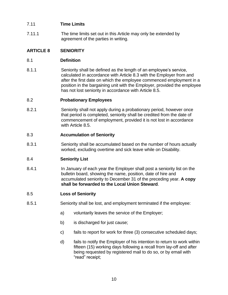# <span id="page-13-0"></span>7.11 **Time Limits**

7.11.1 The time limits set out in this Article may only be extended by agreement of the parties in writing.

# <span id="page-13-1"></span>**ARTICLE 8 SENIORITY**

# <span id="page-13-2"></span>8.1 **Definition**

8.1.1 Seniority shall be defined as the length of an employee's service, calculated in accordance with Article 8.3 with the Employer from and after the first date on which the employee commenced employment in a position in the bargaining unit with the Employer, provided the employee has not lost seniority in accordance with Article 8.5.

# <span id="page-13-3"></span>8.2 **Probationary Employees**

8.2.1 Seniority shall not apply during a probationary period, however once that period is completed, seniority shall be credited from the date of commencement of employment, provided it is not lost in accordance with Article 8.5.

#### <span id="page-13-4"></span>8.3 **Accumulation of Seniority**

8.3.1 Seniority shall be accumulated based on the number of hours actually worked, excluding overtime and sick leave while on Disability.

# <span id="page-13-5"></span>8.4 **Seniority List**

8.4.1 In January of each year the Employer shall post a seniority list on the bulletin board, showing the name, position, date of hire and accumulated seniority to December 31 of the preceding year. **A copy shall be forwarded to the Local Union Steward**.

#### <span id="page-13-6"></span>8.5 **Loss of Seniority**

- 8.5.1 Seniority shall be lost, and employment terminated if the employee:
	- a) voluntarily leaves the service of the Employer;
	- b) is discharged for just cause;
	- c) fails to report for work for three (3) consecutive scheduled days;
	- d) fails to notify the Employer of his intention to return to work within fifteen (15) working days following a recall from lay-off and after being requested by registered mail to do so, or by email with "read" receipt;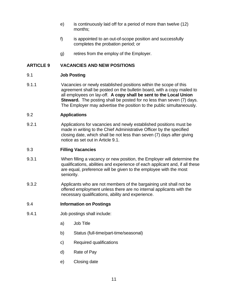- e) is continuously laid off for a period of more than twelve (12) months;
- f) is appointed to an out-of-scope position and successfully completes the probation period; or
- g) retires from the employ of the Employer.

#### <span id="page-14-0"></span>**ARTICLE 9 VACANCIES AND NEW POSITIONS**

#### <span id="page-14-1"></span>9.1 **Job Posting**

9.1.1 Vacancies or newly established positions within the scope of this agreement shall be posted on the bulletin board, with a copy mailed to all employees on lay-off. **A copy shall be sent to the Local Union Steward.** The posting shall be posted for no less than seven (7) days. The Employer may advertise the position to the public simultaneously.

#### <span id="page-14-2"></span>9.2 **Applications**

9.2.1 Applications for vacancies and newly established positions must be made in writing to the Chief Administrative Officer by the specified closing date, which shall be not less than seven (7) days after giving notice as set out in Article 9.1.

#### <span id="page-14-3"></span>9.3 **Filling Vacancies**

- 9.3.1 When filling a vacancy or new position, the Employer will determine the qualifications, abilities and experience of each applicant and, if all these are equal, preference will be given to the employee with the most seniority.
- 9.3.2 Applicants who are not members of the bargaining unit shall not be offered employment unless there are no internal applicants with the necessary qualifications, ability and experience.
- <span id="page-14-4"></span>9.4 **Information on Postings**
- 9.4.1 Job postings shall include:
	- a) Job Title
	- b) Status (full-time/part-time/seasonal)
	- c) Required qualifications
	- d) Rate of Pay
	- e) Closing date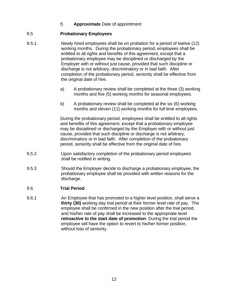# f) **Approximate** Date of appointment

# <span id="page-15-0"></span>9.5 **Probationary Employees**

- 9.5.1 Newly hired employees shall be on probation for a period of twelve (12) working months. During the probationary period, employees shall be entitled to all rights and benefits of this agreement, except that a probationary employee may be disciplined or discharged by the Employer with or without just cause, provided that such discipline or discharge is not arbitrary, discriminatory or in bad faith. After completion of the probationary period, seniority shall be effective from the original date of hire.
	- a) A probationary review shall be completed at the three (3) working months and five (5) working months for seasonal employees.
	- b) A probationary review shall be completed at the six (6) working months and eleven (11) working months for full time employees.

During the probationary period, employees shall be entitled to all rights and benefits of this agreement, except that a probationary employee may be disciplined or discharged by the Employer with or without just cause, provided that such discipline or discharge is not arbitrary, discriminatory or in bad faith. After completion of the probationary period, seniority shall be effective from the original date of hire.

- 9.5.2 Upon satisfactory completion of the probationary period employees shall be notified in writing.
- 9.5.3 Should the Employer decide to discharge a probationary employee, the probationary employee shall be provided with written reasons for the discharge.

# <span id="page-15-1"></span>9.6 **Trial Period**

9.6.1 An Employee that has promoted to a higher level position, shall serve a **thirty (30)** working day trial period at their former level rate of pay. The employee shall be confirmed in the new position after the trial period, and his/her rate of pay shall be increased to the appropriate level **retroactive to the start date of promotion**. During the trial period the employee will have the option to revert to his/her former position, without loss of seniority.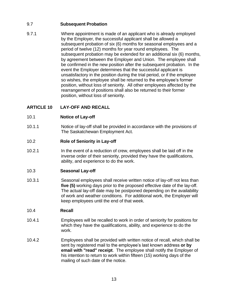# <span id="page-16-0"></span>9.7 **Subsequent Probation**

9.7.1 Where appointment is made of an applicant who is already employed by the Employer, the successful applicant shall be allowed a subsequent probation of six (6) months for seasonal employees and a period of twelve (12) months for year round employees. The subsequent probation may be extended for an additional six (6) months, by agreement between the Employer and Union. The employee shall be confirmed in the new position after the subsequent probation. In the event the Employer determines that the successful applicant is unsatisfactory in the position during the trial period, or if the employee so wishes, the employee shall be returned to the employee's former position, without loss of seniority. All other employees affected by the rearrangement of positions shall also be returned to their former position, without loss of seniority.

# <span id="page-16-1"></span>**ARTICLE 10 LAY-OFF AND RECALL**

# <span id="page-16-2"></span>10.1 **Notice of Lay-off**

10.1.1 Notice of lay-off shall be provided in accordance with the provisions of The Saskatchewan Employment Act.

# <span id="page-16-3"></span>10.2 **Role of Seniority in Lay-off**

10.2.1 In the event of a reduction of crew, employees shall be laid off in the inverse order of their seniority, provided they have the qualifications, ability, and experience to do the work.

# <span id="page-16-4"></span>10.3 **Seasonal Lay-off**

10.3.1 Seasonal employees shall receive written notice of lay-off not less than **five (5)** working days prior to the proposed effective date of the lay-off. The actual lay-off date may be postponed depending on the availability of work and weather conditions. For additional work, the Employer will keep employees until the end of that week.

# <span id="page-16-5"></span>10.4 **Recall**

- 10.4.1 Employees will be recalled to work in order of seniority for positions for which they have the qualifications, ability, and experience to do the work.
- 10.4.2 Employees shall be provided with written notice of recall, which shall be sent by registered mail to the employee's last known address **or by email with "read" receipt**. The employee shall notify the Employer of his intention to return to work within fifteen (15) working days of the mailing of such date of the notice.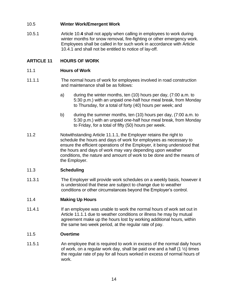# <span id="page-17-0"></span>10.5 **Winter Work/Emergent Work**

10.5.1 Article 10.**4** shall not apply when calling in employees to work during winter months for snow removal, fire-fighting or other emergency work. Employees shall be called in for such work in accordance with Article 10.4.1 and shall not be entitled to notice of lay-off.

# <span id="page-17-1"></span>**ARTICLE 11 HOURS OF WORK**

#### <span id="page-17-2"></span>11.1 **Hours of Work**

- 11.1.1 The normal hours of work for employees involved in road construction and maintenance shall be as follows:
	- a) during the winter months, ten (10) hours per day, (7:00 a.m. to 5:30 p.m.) with an unpaid one-half hour meal break, from Monday to Thursday, for a total of forty (40) hours per week; and
	- b) during the summer months, ten (10) hours per day, (7:00 a.m. to 5:30 p.m.) with an unpaid one-half hour meal break, from Monday to Friday, for a total of fifty (50) hours per week.
- 11.2 Notwithstanding Article 11.1.1, the Employer retains the right to schedule the hours and days of work for employees as necessary to ensure the efficient operations of the Employer, it being understood that the hours and days of work may vary depending upon weather conditions, the nature and amount of work to be done and the means of the Employer.

# <span id="page-17-3"></span>11.3 **Scheduling**

11.3.1 The Employer will provide work schedules on a weekly basis, however it is understood that these are subject to change due to weather conditions or other circumstances beyond the Employer's control.

#### <span id="page-17-4"></span>11.4 **Making Up Hours**

11.4.1 If an employee was unable to work the normal hours of work set out in Article 11.1.1 due to weather conditions or illness he may by mutual agreement make up the hours lost by working additional hours, within the same two week period, at the regular rate of pay.

#### <span id="page-17-5"></span>11.5 **Overtime**

11.5.1 An employee that is required to work in excess of the normal daily hours of work, on a regular work day, shall be paid one and a half  $(1 \frac{1}{2})$  times the regular rate of pay for all hours worked in excess of normal hours of work.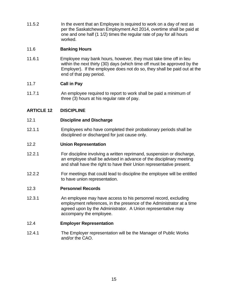11.5.2 **In the event that an Employee is required to work on a day of rest as** per the Saskatchewan Employment Act 2014, overtime shall be paid at one and one half (1 1/2) times the regular rate of pay for all hours worked.

#### <span id="page-18-0"></span>11.6 **Banking Hours**

11.6.1 Employee may bank hours, however, they must take time off in lieu within the next thirty (30) days (which time off must be approved by the Employer). If the employee does not do so, they shall be paid out at the end of that pay period.

# <span id="page-18-1"></span>11.7 **Call in Pay**

11.7.1 An employee required to report to work shall be paid a minimum of three (3) hours at his regular rate of pay.

# <span id="page-18-2"></span>**ARTICLE 12 DISCIPLINE**

#### <span id="page-18-3"></span>12.1 **Discipline and Discharge**

12.1.1 Employees who have completed their probationary periods shall be disciplined or discharged for just cause only.

#### <span id="page-18-4"></span>12.2 **Union Representation**

- 12.2.1 For discipline involving a written reprimand, suspension or discharge, an employee shall be advised in advance of the disciplinary meeting and shall have the right to have their Union representative present.
- 12.2.2 For meetings that could lead to discipline the employee will be entitled to have union representation.

#### <span id="page-18-5"></span>12.3 **Personnel Records**

12.3.1 An employee may have access to his personnel record, excluding employment references, in the presence of the Administrator at a time agreed upon by the Administrator. A Union representative may accompany the employee.

#### <span id="page-18-6"></span>12.4 **Employer Representation**

12.4.1 The Employer representation will be the Manager of Public Works and/or the CAO.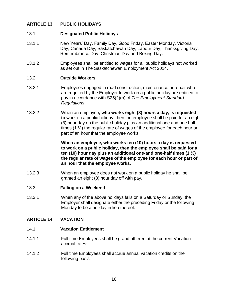#### <span id="page-19-0"></span>**ARTICLE 13 PUBLIC HOLIDAYS**

#### 13.1 **Designated Public Holidays**

- 13.1.1 New Years' Day, Family Day, Good Friday, Easter Monday, Victoria Day, Canada Day, Saskatchewan Day, Labour Day, Thanksgiving Day, Remembrance Day, Christmas Day and Boxing Day.
- 13.1.2 Employees shall be entitled to wages for all public holidays not worked as set out in The Saskatchewan Employment Act 2014.

#### <span id="page-19-1"></span>13.2 **Outside Workers**

- 13.2.1 Employees engaged in road construction, maintenance or repair who are required by the Employer to work on a public holiday are entitled to pay in accordance with S25(2)(b) of *The Employment Standard Regulations*.
- 13.2.2 When an employee**, who works eight (8) hours a day, is requested to** work on a public holiday, then the employee shall be paid for an eight (8) hour day on the public holiday plus an additional one and one half times (1 ½) the regular rate of wages of the employee for each hour or part of an hour that the employee works.

**When an employee, who works ten (10) hours a day is requested to work on a public holiday, then the employee shall be paid for a ten (10) hour day plus an additional one-and one-half times (1 ½) the regular rate of wages of the employee for each hour or part of an hour that the employee works.**

13.2.3 When an employee does not work on a public holiday he shall be granted an eight (8) hour day off with pay.

#### <span id="page-19-2"></span>13.3 **Falling on a Weekend**

13.3.1 When any of the above holidays falls on a Saturday or Sunday, the Employer shall designate either the preceding Friday or the following Monday to be a holiday in lieu thereof.

#### <span id="page-19-4"></span><span id="page-19-3"></span>**ARTICLE 14 VACATION**

- 14.1 **Vacation Entitlement**
- 14.1.1 Full time Employees shall be grandfathered at the current Vacation accrual rates:
- 14.1.2 Full time Employees shall accrue annual vacation credits on the following basis: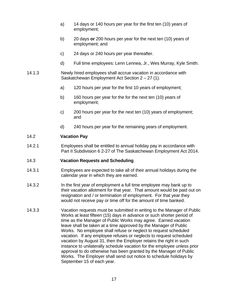- a) 14 days or 140 hours per year for the first ten (10) years of employment;
- b) 20 days **or** 200 hours per year for the next ten (10) years of employment; and
- c) 24 days or 240 hours per year thereafter.
- d) Full time employees: Lenn Lennea, Jr., Wes Murray, Kyle Smith.
- 14.1.3 Newly hired employees shall accrue vacation in accordance with Saskatchewan Employment Act Section 2 – 27 (1).
	- a) 120 hours per year for the first 10 years of employment;
	- b) 160 hours per year for the for the next ten (10) years of employment;
	- c) 200 hours per year for the next ten (10) years of employment; and
	- d) 240 hours per year for the remaining years of employment.

#### <span id="page-20-0"></span>14.2 **Vacation Pay**

14.2.1 Employees shall be entitled to annual holiday pay in accordance with Part II Subdivision 6 2-27 of The Saskatchewan Employment Act 2014.

#### <span id="page-20-1"></span>14.3 **Vacation Requests and Scheduling**

- 14.3.1 Employees are expected to take all of their annual holidays during the calendar year in which they are earned.
- 14.3.2 In the first year of employment a full time employee may bank up to their vacation allotment for that year. That amount would be paid out on resignation and / or termination of employment. For that year they would not receive pay or time off for the amount of time banked.
- 14.3.3 Vacation requests must be submitted in writing to the Manager of Public Works at least fifteen (15) days in advance or such shorter period of time as the Manager of Public Works may agree. Earned vacation leave shall be taken at a time approved by the Manager of Public Works. No employee shall refuse or neglect to request scheduled vacation. If any employee refuses or neglects to request scheduled vacation by August 31, then the Employer retains the right in such instance to unilaterally schedule vacation for the employee unless prior approval to do otherwise has been granted by the Manager of Public Works. The Employer shall send out notice to schedule holidays by September 15 of each year.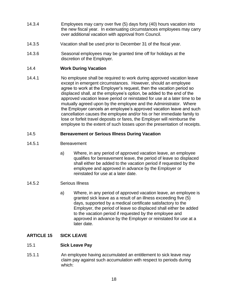- 14.3.4 Employees may carry over five (5) days forty (40) hours vacation into the new fiscal year. In extenuating circumstances employees may carry over additional vacation with approval from Council.
- 14.3.5 Vacation shall be used prior to December 31 of the fiscal year.
- 14.3.6 Seasonal employees may be granted time off for holidays at the discretion of the Employer.

#### <span id="page-21-0"></span>14.4 **Work During Vacation**

14.4.1 No employee shall be required to work during approved vacation leave except in emergent circumstances. However, should an employee agree to work at the Employer's request, then the vacation period so displaced shall, at the employee's option, be added to the end of the approved vacation leave period or reinstated for use at a later time to be mutually agreed upon by the employee and the Administrator. Where the Employer cancels an employee's approved vacation leave and such cancellation causes the employee and/or his or her immediate family to lose or forfeit travel deposits or fares, the Employer will reimburse the employee to the extent of such losses upon the presentation of receipts.

#### <span id="page-21-1"></span>14.5 **Bereavement or Serious Illness During Vacation**

- 14.5.1 Bereavement
	- a) Where, in any period of approved vacation leave, an employee qualifies for bereavement leave, the period of leave so displaced shall either be added to the vacation period if requested by the employee and approved in advance by the Employer or reinstated for use at a later date.

#### 14.5.2 Serious Illness

a) Where, in any period of approved vacation leave, an employee is granted sick leave as a result of an illness exceeding five (5) days, supported by a medical certificate satisfactory to the Employer, the period of leave so displaced shall either be added to the vacation period if requested by the employee and approved in advance by the Employer or reinstated for use at a later date.

# <span id="page-21-2"></span>**ARTICLE 15 SICK LEAVE**

#### <span id="page-21-3"></span>15.1 **Sick Leave Pay**

15.1.1 An employee having accumulated an entitlement to sick leave may claim pay against such accumulation with respect to periods during which: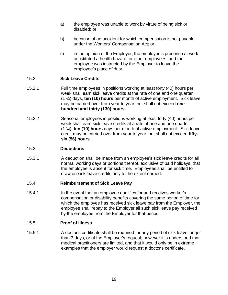- a) the employee was unable to work by virtue of being sick or disabled; or
- b) because of an accident for which compensation is not payable under the Workers' Compensation Act; or
- c) in the opinion of the Employer, the employee's presence at work constituted a health hazard for other employees, and the employee was instructed by the Employer to leave the employee's place of duty.

#### <span id="page-22-0"></span>15.2 **Sick Leave Credits**

- 15.2.1 Full time employees in positions working at least forty (40) hours per week shall earn sick leave credits at the rate of one and one quarter (1 ¼) days, **ten (10) hours** per month of active employment. Sick leave may be carried over from year to year, but shall not exceed **one hundred and thirty (130) hours.**
- 15.2.2 Seasonal employees in positions working at least forty (40) hours per week shall earn sick leave credits at a rate of one and one quarter (1 ¼), **ten (10) hours** days per month of active employment. Sick leave credit may be carried over from year to year, but shall not exceed **fiftysix (56) hours**.

#### <span id="page-22-1"></span>15.3 **Deductions**

15.3.1 A deduction shall be made from an employee's sick leave credits for all normal working days or portions thereof, exclusive of paid holidays, that the employee is absent for sick time. Employees shall be entitled to draw on sick leave credits only to the extent earned.

#### <span id="page-22-2"></span>15.4 **Reimbursement of Sick Leave Pay**

15.4.1 In the event that an employee qualifies for and receives worker's compensation or disability benefits covering the same period of time for which the employee has received sick leave pay from the Employer, the employee shall repay to the Employer all such sick leave pay received by the employee from the Employer for that period.

#### <span id="page-22-3"></span>15.5 **Proof of Illness**

15.5.1 A doctor's certificate shall be required for any period of sick leave longer than 3 days, or at the Employer's request; however it is understood that medical practitioners are limited, and that it would only be in extreme examples that the employer would request a doctor's certificate.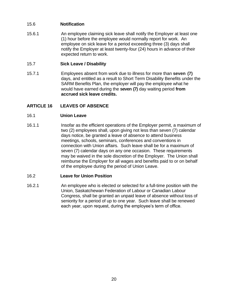# <span id="page-23-0"></span>15.6 **Notification**

15.6.1 An employee claiming sick leave shall notify the Employer at least one (1) hour before the employee would normally report for work. An employee on sick leave for a period exceeding three (3) days shall notify the Employer at least twenty-four (24) hours in advance of their expected return to work.

# <span id="page-23-1"></span>15.7 **Sick Leave / Disability**

15.7.1 Employees absent from work due to illness for more than **seven (7)** days, and entitled as a result to Short Term Disability Benefits under the SARM Benefits Plan, the employer will pay the employee what he would have earned during the **seven (7)** day waiting period **from accrued sick leave credits.**

# <span id="page-23-2"></span>**ARTICLE 16 LEAVES OF ABSENCE**

#### <span id="page-23-3"></span>16.1 **Union Leave**

16.1.1 Insofar as the efficient operations of the Employer permit, a maximum of two (2) employees shall, upon giving not less than seven (7) calendar days notice, be granted a leave of absence to attend business meetings, schools, seminars, conferences and conventions in connection with Union affairs. Such leave shall be for a maximum of seven (7) calendar days on any one occasion. These requirements may be waived in the sole discretion of the Employer. The Union shall reimburse the Employer for all wages and benefits paid to or on behalf of the employee during the period of Union Leave.

# <span id="page-23-4"></span>16.2 **Leave for Union Position**

16.2.1 An employee who is elected or selected for a full-time position with the Union, Saskatchewan Federation of Labour or Canadian Labour Congress, shall be granted an unpaid leave of absence without loss of seniority for a period of up to one year. Such leave shall be renewed each year, upon request, during the employee's term of office.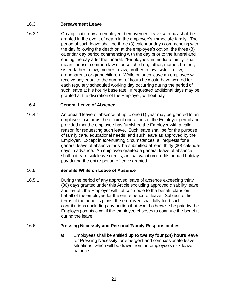# <span id="page-24-0"></span>16.3 **Bereavement Leave**

16.3.1 On application by an employee, bereavement leave with pay shall be granted in the event of death in the employee's immediate family. The period of such leave shall be three (3) calendar days commencing with the day following the death or, at the employee's option, the three (3) calendar day period commencing with the day prior to the funeral and ending the day after the funeral. "Employees' immediate family" shall mean spouse, common-law spouse, children, father, mother, brother, sister, father-in-law, mother-in-law, brother-in-law, sister-in-law, grandparents or grandchildren. While on such leave an employee will receive pay equal to the number of hours he would have worked for each regularly scheduled working day occurring during the period of such leave at his hourly base rate. If requested additional days may be granted at the discretion of the Employer, without pay.

# <span id="page-24-1"></span>16.4 **General Leave of Absence**

16.4.1 An unpaid leave of absence of up to one (1) year may be granted to an employee insofar as the efficient operations of the Employer permit and provided that the employee has furnished the Employer with a valid reason for requesting such leave. Such leave shall be for the purpose of family care, educational needs, and such leave as approved by the Employer. Except in extenuating circumstances, all requests for a general leave of absence must be submitted at least thirty (30) calendar days in advance. An employee granted a general leave of absence shall not earn sick leave credits, annual vacation credits or paid holiday pay during the entire period of leave granted.

# <span id="page-24-2"></span>16.5 **Benefits While on Leave of Absence**

16.5.1 During the period of any approved leave of absence exceeding thirty (30) days granted under this Article excluding approved disability leave and lay-off, the Employer will not contribute to the benefit plans on behalf of the employee for the entire period of leave. Subject to the terms of the benefits plans, the employee shall fully fund such contributions (including any portion that would otherwise be paid by the Employer) on his own, if the employee chooses to continue the benefits during the leave.

# <span id="page-24-3"></span>16.6 **Pressing Necessity and Personal/Family Responsibilities**

a) Employees shall be entitled **up to twenty four (24) hours** leave for Pressing Necessity for emergent and compassionate leave situations, which will be drawn from an employee's sick leave balance.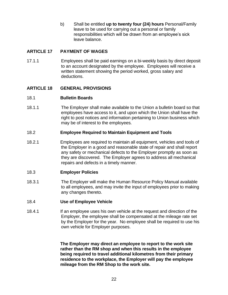b) Shall be entitled **up to twenty four (24) hours** Personal/Family leave to be used for carrying out a personal or family responsibilities which will be drawn from an employee's sick leave balance.

#### <span id="page-25-0"></span>**ARTICLE 17 PAYMENT OF WAGES**

17.1.1 Employees shall be paid earnings on a bi-weekly basis by direct deposit to an account designated by the employee. Employees will receive a written statement showing the period worked, gross salary and deductions.

#### <span id="page-25-1"></span>**ARTICLE 18 GENERAL PROVISIONS**

#### <span id="page-25-2"></span>18.1 **Bulletin Boards**

18.1.1 The Employer shall make available to the Union a bulletin board so that employees have access to it, and upon which the Union shall have the right to post notices and information pertaining to Union business which may be of interest to the employees.

#### <span id="page-25-3"></span>18.2 **Employee Required to Maintain Equipment and Tools**

18.2.1 Employees are required to maintain all equipment, vehicles and tools of the Employer in a good and reasonable state of repair and shall report any safety or mechanical defects to the Employer promptly as soon as they are discovered. The Employer agrees to address all mechanical repairs and defects in a timely manner.

#### <span id="page-25-4"></span>18.3 **Employer Policies**

18.3.1 The Employer will make the Human Resource Policy Manual available to all employees, and may invite the input of employees prior to making any changes thereto.

#### <span id="page-25-5"></span>18.4 **Use of Employee Vehicle**

18.4.1 If an employee uses his own vehicle at the request and direction of the Employer, the employee shall be compensated at the mileage rate set by the Employer for the year. No employee shall be required to use his own vehicle for Employer purposes.

> **The Employer may direct an employee to report to the work site rather than the RM shop and when this results in the employee being required to travel additional kilometres from their primary residence to the workplace, the Employer will pay the employee mileage from the RM Shop to the work site.**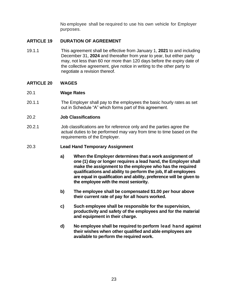No employee shall be required to use his own vehicle for Employer purposes.

#### <span id="page-26-0"></span>**ARTICLE 19 DURATION OF AGREEMENT**

19.1.1 This agreement shall be effective from January 1, **2021** to and including December 31, **2024** and thereafter from year to year, but either party may, not less than 60 nor more than 120 days before the expiry date of the collective agreement, give notice in writing to the other party to negotiate a revision thereof.

#### <span id="page-26-1"></span>**ARTICLE 20 WAGES**

#### <span id="page-26-2"></span>20.1 **Wage Rates**

20.1.1 The Employer shall pay to the employees the basic hourly rates as set out in Schedule "A" which forms part of this agreement.

#### <span id="page-26-3"></span>20.2 **Job Classifications**

20.2.1 Job classifications are for reference only and the parties agree the actual duties to be performed may vary from time to time based on the requirements of the Employer.

#### <span id="page-26-4"></span>20.3 **Lead Hand Temporary Assignment**

- **a) When the Employer determines that a work assignment of one (1) day or longer requires a lead hand, the Employer shall make the assignment to the employee who has the required qualifications and ability to perform the job, If all employees are equal in qualification and ability, preference will be given to the employee with the most seniority.**
- **b) The employee shall be compensated \$1.00 per hour above their current rate of pay for all hours worked.**
- **c) Such employee shall be responsible for the supervision, productivity and safety of the employees and for the material and equipment in their charge.**
- **d) No employee shall be required to perform lead hand against their wishes when other qualified and able employees are available to perform the required work.**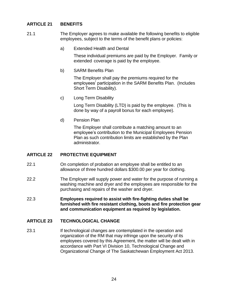# <span id="page-27-0"></span>**ARTICLE 21 BENEFITS**

- 21.1 The Employer agrees to make available the following benefits to eligible employees, subject to the terms of the benefit plans or policies:
	- a) Extended Health and Dental

These individual premiums are paid by the Employer. Family or extended coverage is paid by the employee.

b) SARM Benefits Plan

The Employer shall pay the premiums required for the employees' participation in the SARM Benefits Plan. (Includes Short Term Disability).

c) Long Term Disability

Long Term Disability (LTD) is paid by the employee. (This is done by way of a payroll bonus for each employee).

d) Pension Plan

The Employer shall contribute a matching amount to an employee's contribution to the Municipal Employees Pension Plan as such contribution limits are established by the Plan administrator.

# <span id="page-27-1"></span>**ARTICLE 22 PROTECTIVE EQUIPMENT**

- 22.1 On completion of probation an employee shall be entitled to an allowance of three hundred dollars \$300.00 per year for clothing.
- 22.2 The Employer will supply power and water for the purpose of running a washing machine and dryer and the employees are responsible for the purchasing and repairs of the washer and dryer.
- 22.3 **Employees required to assist with fire-fighting duties shall be furnished with fire resistant clothing, boots and fire protection gear and communication equipment as required by legislation.**

# <span id="page-27-2"></span>**ARTICLE 23 TECHNOLOGICAL CHANGE**

23.1 If technological changes are contemplated in the operation and organization of the RM that may infringe upon the security of its employees covered by this Agreement, the matter will be dealt with in accordance with Part VI Division 10, Technological Change and Organizational Change of The Saskatchewan Employment Act 2013.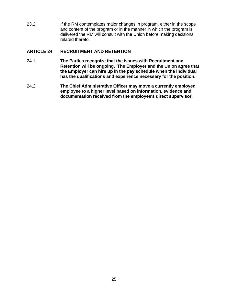23.2 If the RM contemplates major changes in program, either in the scope and content of the program or in the manner in which the program is delivered the RM will consult with the Union before making decisions related thereto.

#### <span id="page-28-0"></span>**ARTICLE 24 RECRUITMENT AND RETENTION**

- 24.1 **The Parties recognize that the issues with Recruitment and Retention will be ongoing. The Employer and the Union agree that the Employer can hire up in the pay schedule when the individual has the qualifications and experience necessary for the position.**
- 24.2 **The Chief Administrative Officer may move a currently employed employee to a higher level based on information, evidence and documentation received from the employee's direct supervisor.**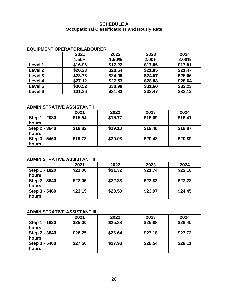#### **SCHEDULE A Occupational Classifications and Hourly Rate**

# <span id="page-29-0"></span>**EQUIPMENT OPERATOR/LABOURER**

|         | 2021    | 2022    | 2023    | 2024    |
|---------|---------|---------|---------|---------|
|         | 1.50%   | 1.50%   | 2.00%   | 2.00%   |
| Level 1 | \$16.96 | \$17.22 | \$17.56 | \$17.91 |
| Level 2 | \$20.33 | \$20.64 | \$21.05 | \$21.47 |
| Level 3 | \$23.73 | \$24.09 | \$24.57 | \$25.06 |
| Level 4 | \$27.12 | \$27.53 | \$28.08 | \$28.64 |
| Level 5 | \$30.52 | \$30.98 | \$31.60 | \$32.23 |
| Level 6 | \$31.36 | \$31.83 | \$32.47 | \$33.12 |

#### **ADMINISTRATIVE ASSISTANT I**

|                        | 2021    | 2022    | 2023    | 2024    |
|------------------------|---------|---------|---------|---------|
| Step 1 - 2080<br>hours | \$15.54 | \$15.77 | \$16.09 | \$16.41 |
| Step 2 - 3640<br>hours | \$18.82 | \$19.10 | \$19.48 | \$19.87 |
| Step 3 - 5460<br>hours | \$19.78 | \$20.08 | \$20.48 | \$20.89 |

# **ADMINISTRATIVE ASSISTANT II**

|                        | 2021    | 2022    | 2023    | 2024    |
|------------------------|---------|---------|---------|---------|
| Step 1 - 1820<br>hours | \$21.00 | \$21.32 | \$21.74 | \$22.18 |
| Step 2 - 3640<br>hours | \$22.05 | \$22.38 | \$22.83 | \$23.28 |
| Step 3 - 5460<br>hours | \$23.15 | \$23.50 | \$23.97 | \$24.45 |

# **ADMINISTRATIVE ASSISTANT III**

|                        | 2021    | 2022    | 2023    | 2024    |
|------------------------|---------|---------|---------|---------|
| Step 1 - 1820<br>hours | \$25.00 | \$25.38 | \$25.88 | \$26.40 |
| Step 2 - 3640<br>hours | \$26.25 | \$26.64 | \$27.18 | \$27.72 |
| Step 3 - 5460<br>hours | \$27.56 | \$27.98 | \$28.54 | \$29.11 |